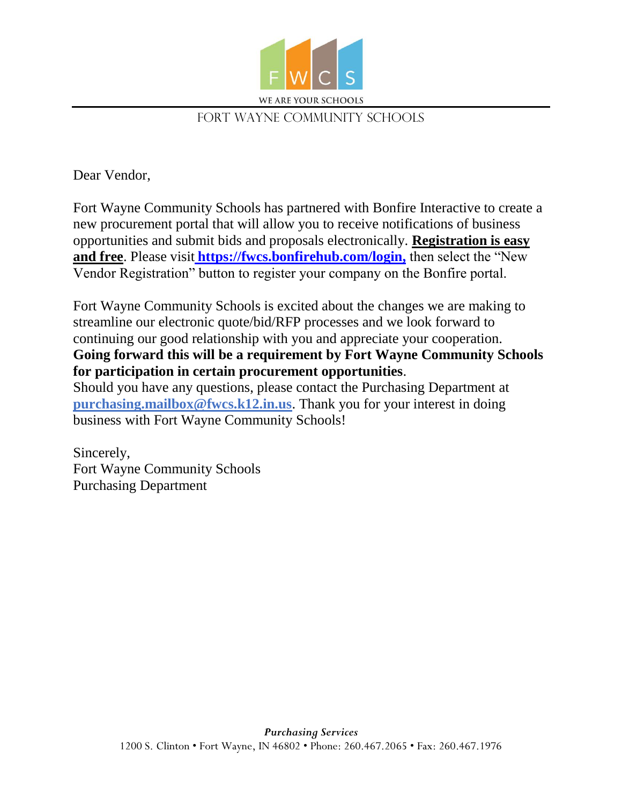

## FORT WAYNE COMMUNITY SCHOOLS

Dear Vendor,

Fort Wayne Community Schools has partnered with Bonfire Interactive to create a new procurement portal that will allow you to receive notifications of business opportunities and submit bids and proposals electronically. **Registration is easy and free**. Please visit **[https://fwcs.bonfirehub.com/login,](https://fwcs.bonfirehub.com/)** then select the "New Vendor Registration" button to register your company on the Bonfire portal.

Fort Wayne Community Schools is excited about the changes we are making to streamline our electronic quote/bid/RFP processes and we look forward to continuing our good relationship with you and appreciate your cooperation. **Going forward this will be a requirement by Fort Wayne Community Schools for participation in certain procurement opportunities**.

Should you have any questions, please contact the Purchasing Department at **[purchasing.mailbox@fwcs.k12.in.us](mailto:purchasing.mailbox@fwcs.k12.in.us)**. Thank you for your interest in doing business with Fort Wayne Community Schools!

Sincerely, Fort Wayne Community Schools Purchasing Department